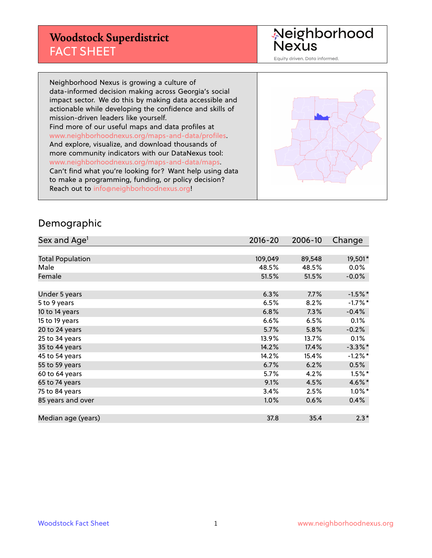### **Woodstock Superdistrict** FACT SHEET

Neighborhood<br>Nexus

Equity driven. Data informed.

Neighborhood Nexus is growing a culture of data-informed decision making across Georgia's social impact sector. We do this by making data accessible and actionable while developing the confidence and skills of mission-driven leaders like yourself. Find more of our useful maps and data profiles at www.neighborhoodnexus.org/maps-and-data/profiles. And explore, visualize, and download thousands of more community indicators with our DataNexus tool: www.neighborhoodnexus.org/maps-and-data/maps. Can't find what you're looking for? Want help using data to make a programming, funding, or policy decision? Reach out to [info@neighborhoodnexus.org!](mailto:info@neighborhoodnexus.org)



#### Demographic

| Sex and Age <sup>1</sup> | $2016 - 20$ | 2006-10 | Change     |
|--------------------------|-------------|---------|------------|
|                          |             |         |            |
| <b>Total Population</b>  | 109,049     | 89,548  | 19,501*    |
| Male                     | 48.5%       | 48.5%   | $0.0\%$    |
| Female                   | 51.5%       | 51.5%   | $-0.0\%$   |
|                          |             |         |            |
| Under 5 years            | 6.3%        | 7.7%    | $-1.5%$ *  |
| 5 to 9 years             | 6.5%        | 8.2%    | $-1.7%$ *  |
| 10 to 14 years           | 6.8%        | 7.3%    | $-0.4%$    |
| 15 to 19 years           | 6.6%        | 6.5%    | 0.1%       |
| 20 to 24 years           | 5.7%        | 5.8%    | $-0.2%$    |
| 25 to 34 years           | 13.9%       | 13.7%   | 0.1%       |
| 35 to 44 years           | 14.2%       | 17.4%   | $-3.3\%$ * |
| 45 to 54 years           | 14.2%       | 15.4%   | $-1.2%$ *  |
| 55 to 59 years           | 6.7%        | 6.2%    | 0.5%       |
| 60 to 64 years           | 5.7%        | 4.2%    | $1.5%$ *   |
| 65 to 74 years           | 9.1%        | 4.5%    | 4.6%*      |
| 75 to 84 years           | 3.4%        | 2.5%    | $1.0\%$ *  |
| 85 years and over        | 1.0%        | 0.6%    | 0.4%       |
|                          |             |         |            |
| Median age (years)       | 37.8        | 35.4    | $2.3*$     |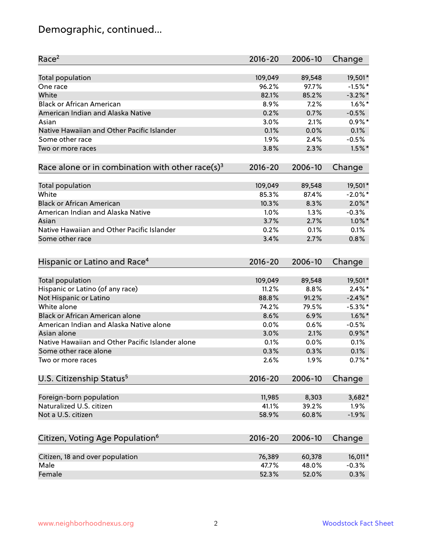# Demographic, continued...

| Race <sup>2</sup>                                            | $2016 - 20$ | 2006-10 | Change     |
|--------------------------------------------------------------|-------------|---------|------------|
| <b>Total population</b>                                      | 109,049     | 89,548  | 19,501*    |
| One race                                                     | 96.2%       | 97.7%   | $-1.5%$ *  |
| White                                                        | 82.1%       | 85.2%   | $-3.2\%$ * |
| <b>Black or African American</b>                             | 8.9%        | 7.2%    | $1.6\%$ *  |
| American Indian and Alaska Native                            | 0.2%        | 0.7%    | $-0.5%$    |
| Asian                                                        | 3.0%        | 2.1%    | $0.9\%$ *  |
| Native Hawaiian and Other Pacific Islander                   | 0.1%        | 0.0%    | 0.1%       |
| Some other race                                              | 1.9%        | 2.4%    | $-0.5%$    |
| Two or more races                                            | 3.8%        | 2.3%    | $1.5%$ *   |
| Race alone or in combination with other race(s) <sup>3</sup> | $2016 - 20$ | 2006-10 | Change     |
| Total population                                             | 109,049     | 89,548  | 19,501*    |
| White                                                        | 85.3%       | 87.4%   | $-2.0\%$ * |
| <b>Black or African American</b>                             | 10.3%       | 8.3%    | $2.0\%$ *  |
| American Indian and Alaska Native                            | 1.0%        | 1.3%    | $-0.3%$    |
| Asian                                                        | 3.7%        | 2.7%    | $1.0\%$ *  |
| Native Hawaiian and Other Pacific Islander                   | 0.2%        |         |            |
|                                                              | 3.4%        | 0.1%    | 0.1%       |
| Some other race                                              |             | 2.7%    | 0.8%       |
| Hispanic or Latino and Race <sup>4</sup>                     | $2016 - 20$ | 2006-10 | Change     |
| Total population                                             | 109,049     | 89,548  | 19,501*    |
| Hispanic or Latino (of any race)                             | 11.2%       | 8.8%    | $2.4\%$ *  |
| Not Hispanic or Latino                                       | 88.8%       | 91.2%   | $-2.4\%$ * |
| White alone                                                  | 74.2%       | 79.5%   | $-5.3\%$ * |
| <b>Black or African American alone</b>                       | 8.6%        | 6.9%    | $1.6\%$ *  |
| American Indian and Alaska Native alone                      | 0.0%        | 0.6%    | $-0.5%$    |
| Asian alone                                                  | 3.0%        | 2.1%    | $0.9\%$ *  |
| Native Hawaiian and Other Pacific Islander alone             | 0.1%        | 0.0%    | 0.1%       |
| Some other race alone                                        | 0.3%        | 0.3%    | 0.1%       |
| Two or more races                                            | 2.6%        | 1.9%    | $0.7\%$ *  |
| U.S. Citizenship Status <sup>5</sup>                         | $2016 - 20$ | 2006-10 | Change     |
|                                                              |             |         |            |
| Foreign-born population                                      | 11,985      | 8,303   | $3,682*$   |
| Naturalized U.S. citizen                                     | 41.1%       | 39.2%   | 1.9%       |
| Not a U.S. citizen                                           | 58.9%       | 60.8%   | $-1.9%$    |
| Citizen, Voting Age Population <sup>6</sup>                  | $2016 - 20$ | 2006-10 | Change     |
| Citizen, 18 and over population                              | 76,389      | 60,378  | 16,011*    |
| Male                                                         | 47.7%       | 48.0%   | $-0.3%$    |
| Female                                                       | 52.3%       | 52.0%   | 0.3%       |
|                                                              |             |         |            |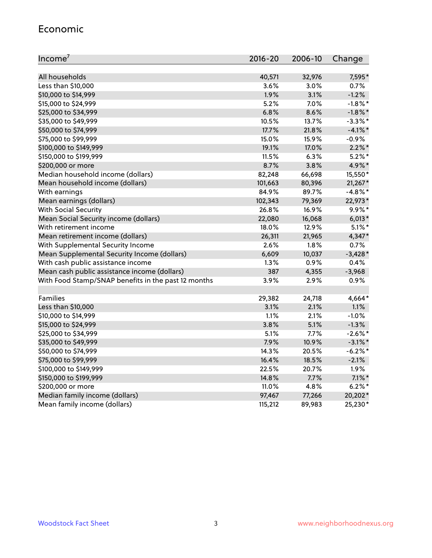#### Economic

| Income <sup>7</sup>                                 | 2016-20 | 2006-10 | Change     |
|-----------------------------------------------------|---------|---------|------------|
|                                                     |         |         |            |
| All households                                      | 40,571  | 32,976  | 7,595*     |
| Less than \$10,000                                  | 3.6%    | 3.0%    | 0.7%       |
| \$10,000 to \$14,999                                | 1.9%    | 3.1%    | $-1.2%$    |
| \$15,000 to \$24,999                                | 5.2%    | 7.0%    | $-1.8\%$ * |
| \$25,000 to \$34,999                                | 6.8%    | 8.6%    | $-1.8\%$ * |
| \$35,000 to \$49,999                                | 10.5%   | 13.7%   | $-3.3\%$ * |
| \$50,000 to \$74,999                                | 17.7%   | 21.8%   | $-4.1%$ *  |
| \$75,000 to \$99,999                                | 15.0%   | 15.9%   | $-0.9%$    |
| \$100,000 to \$149,999                              | 19.1%   | 17.0%   | $2.2\%$ *  |
| \$150,000 to \$199,999                              | 11.5%   | 6.3%    | $5.2\%$ *  |
| \$200,000 or more                                   | 8.7%    | 3.8%    | 4.9%*      |
| Median household income (dollars)                   | 82,248  | 66,698  | 15,550*    |
| Mean household income (dollars)                     | 101,663 | 80,396  | $21,267*$  |
| With earnings                                       | 84.9%   | 89.7%   | $-4.8\%$ * |
| Mean earnings (dollars)                             | 102,343 | 79,369  | 22,973*    |
| <b>With Social Security</b>                         | 26.8%   | 16.9%   | $9.9\%*$   |
| Mean Social Security income (dollars)               | 22,080  | 16,068  | $6,013*$   |
| With retirement income                              | 18.0%   | 12.9%   | $5.1\%$ *  |
| Mean retirement income (dollars)                    | 26,311  | 21,965  | 4,347*     |
| With Supplemental Security Income                   | 2.6%    | 1.8%    | 0.7%       |
| Mean Supplemental Security Income (dollars)         | 6,609   | 10,037  | $-3,428*$  |
| With cash public assistance income                  | 1.3%    | 0.9%    | 0.4%       |
| Mean cash public assistance income (dollars)        | 387     | 4,355   | $-3,968$   |
| With Food Stamp/SNAP benefits in the past 12 months | 3.9%    | 2.9%    | 0.9%       |
|                                                     |         |         |            |
| Families                                            | 29,382  | 24,718  | 4,664*     |
| Less than \$10,000                                  | 3.1%    | 2.1%    | 1.1%       |
| \$10,000 to \$14,999                                | 1.1%    | 2.1%    | $-1.0%$    |
| \$15,000 to \$24,999                                | 3.8%    | 5.1%    | $-1.3%$    |
| \$25,000 to \$34,999                                | 5.1%    | 7.7%    | $-2.6\%$ * |
| \$35,000 to \$49,999                                | 7.9%    | 10.9%   | $-3.1\%$ * |
| \$50,000 to \$74,999                                | 14.3%   | 20.5%   | $-6.2\%$ * |
| \$75,000 to \$99,999                                | 16.4%   | 18.5%   | $-2.1%$    |
| \$100,000 to \$149,999                              | 22.5%   | 20.7%   | 1.9%       |
| \$150,000 to \$199,999                              | 14.8%   | 7.7%    | $7.1\%$ *  |
| \$200,000 or more                                   | 11.0%   | 4.8%    | $6.2\%$ *  |
| Median family income (dollars)                      | 97,467  | 77,266  | 20,202*    |
| Mean family income (dollars)                        | 115,212 | 89,983  | 25,230*    |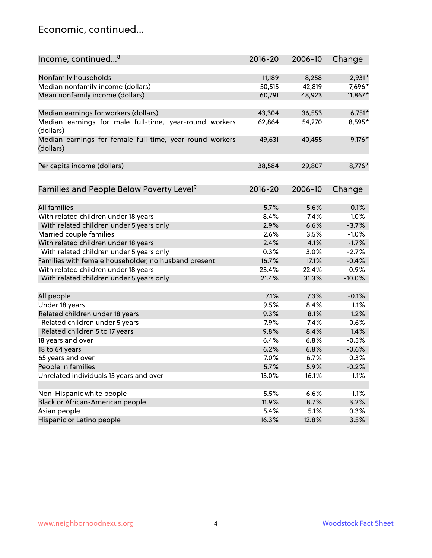### Economic, continued...

| Income, continued <sup>8</sup>                                        | $2016 - 20$ | 2006-10 | Change   |
|-----------------------------------------------------------------------|-------------|---------|----------|
|                                                                       |             |         |          |
| Nonfamily households                                                  | 11,189      | 8,258   | 2,931*   |
| Median nonfamily income (dollars)                                     | 50,515      | 42,819  | 7,696*   |
| Mean nonfamily income (dollars)                                       | 60,791      | 48,923  | 11,867*  |
| Median earnings for workers (dollars)                                 | 43,304      | 36,553  | $6,751*$ |
| Median earnings for male full-time, year-round workers                | 62,864      | 54,270  | 8,595*   |
| (dollars)                                                             |             |         |          |
| Median earnings for female full-time, year-round workers<br>(dollars) | 49,631      | 40,455  | $9,176*$ |
| Per capita income (dollars)                                           | 38,584      | 29,807  | 8,776*   |
|                                                                       |             |         |          |
| Families and People Below Poverty Level <sup>9</sup>                  | $2016 - 20$ | 2006-10 | Change   |
|                                                                       |             |         |          |
| <b>All families</b>                                                   | 5.7%        | 5.6%    | 0.1%     |
| With related children under 18 years                                  | 8.4%        | 7.4%    | 1.0%     |
| With related children under 5 years only                              | 2.9%        | 6.6%    | $-3.7%$  |
| Married couple families                                               | 2.6%        | 3.5%    | $-1.0%$  |
| With related children under 18 years                                  | 2.4%        | 4.1%    | $-1.7%$  |
| With related children under 5 years only                              | 0.3%        | 3.0%    | $-2.7%$  |
| Families with female householder, no husband present                  | 16.7%       | 17.1%   | $-0.4%$  |
| With related children under 18 years                                  | 23.4%       | 22.4%   | 0.9%     |
| With related children under 5 years only                              | 21.4%       | 31.3%   | $-10.0%$ |
| All people                                                            | 7.1%        | 7.3%    | $-0.1%$  |
| Under 18 years                                                        | 9.5%        | 8.4%    | 1.1%     |
| Related children under 18 years                                       | 9.3%        | 8.1%    | 1.2%     |
| Related children under 5 years                                        | 7.9%        | 7.4%    | 0.6%     |
| Related children 5 to 17 years                                        | 9.8%        | 8.4%    | 1.4%     |
| 18 years and over                                                     | 6.4%        | 6.8%    | $-0.5%$  |
| 18 to 64 years                                                        | 6.2%        | 6.8%    | $-0.6%$  |
| 65 years and over                                                     | 7.0%        | 6.7%    | 0.3%     |
| People in families                                                    | 5.7%        | 5.9%    | $-0.2%$  |
| Unrelated individuals 15 years and over                               |             |         |          |
|                                                                       | 15.0%       | 16.1%   | $-1.1%$  |
| Non-Hispanic white people                                             | 5.5%        | 6.6%    | $-1.1%$  |
| Black or African-American people                                      | 11.9%       | 8.7%    | 3.2%     |
| Asian people                                                          | 5.4%        | 5.1%    | 0.3%     |
| Hispanic or Latino people                                             | 16.3%       | 12.8%   | 3.5%     |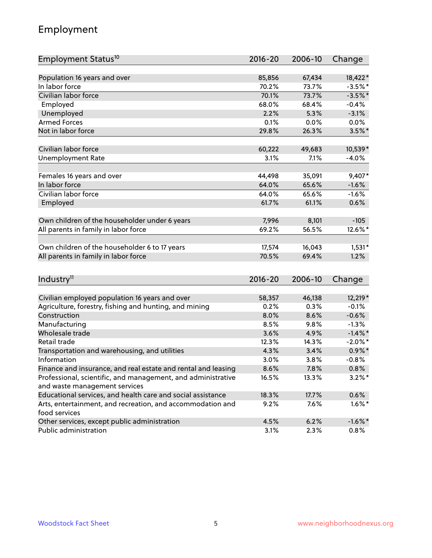## Employment

| Employment Status <sup>10</sup>                                                               | $2016 - 20$ | 2006-10 | Change     |
|-----------------------------------------------------------------------------------------------|-------------|---------|------------|
|                                                                                               |             |         |            |
| Population 16 years and over                                                                  | 85,856      | 67,434  | 18,422*    |
| In labor force                                                                                | 70.2%       | 73.7%   | $-3.5%$ *  |
| Civilian labor force                                                                          | 70.1%       | 73.7%   | $-3.5%$ *  |
| Employed                                                                                      | 68.0%       | 68.4%   | $-0.4%$    |
| Unemployed                                                                                    | 2.2%        | 5.3%    | $-3.1%$    |
| <b>Armed Forces</b>                                                                           | 0.1%        | 0.0%    | $0.0\%$    |
| Not in labor force                                                                            | 29.8%       | 26.3%   | $3.5\%$ *  |
| Civilian labor force                                                                          | 60,222      | 49,683  | 10,539*    |
| <b>Unemployment Rate</b>                                                                      | 3.1%        | 7.1%    | $-4.0%$    |
|                                                                                               |             |         |            |
| Females 16 years and over                                                                     | 44,498      | 35,091  | 9,407*     |
| In labor force                                                                                | 64.0%       | 65.6%   | $-1.6%$    |
| Civilian labor force                                                                          | 64.0%       | 65.6%   | $-1.6%$    |
| Employed                                                                                      | 61.7%       | 61.1%   | 0.6%       |
| Own children of the householder under 6 years                                                 | 7,996       | 8,101   | $-105$     |
| All parents in family in labor force                                                          | 69.2%       | 56.5%   | 12.6%*     |
|                                                                                               |             |         |            |
| Own children of the householder 6 to 17 years                                                 | 17,574      | 16,043  | $1,531*$   |
| All parents in family in labor force                                                          | 70.5%       | 69.4%   | 1.2%       |
|                                                                                               |             |         |            |
| Industry <sup>11</sup>                                                                        | $2016 - 20$ | 2006-10 | Change     |
| Civilian employed population 16 years and over                                                | 58,357      | 46,138  | 12,219*    |
|                                                                                               | 0.2%        | 0.3%    | $-0.1%$    |
| Agriculture, forestry, fishing and hunting, and mining<br>Construction                        | 8.0%        | 8.6%    | $-0.6%$    |
|                                                                                               | 8.5%        | 9.8%    | $-1.3%$    |
| Manufacturing<br>Wholesale trade                                                              | 3.6%        | 4.9%    | $-1.4\%$ * |
| Retail trade                                                                                  | 12.3%       | 14.3%   | $-2.0\%$ * |
|                                                                                               | 4.3%        | 3.4%    | $0.9\%$ *  |
| Transportation and warehousing, and utilities<br>Information                                  | 3.0%        | 3.8%    | $-0.8%$    |
| Finance and insurance, and real estate and rental and leasing                                 | 8.6%        |         |            |
|                                                                                               |             | 7.8%    | $0.8\%$    |
| Professional, scientific, and management, and administrative<br>and waste management services | 16.5%       | 13.3%   | $3.2\%$ *  |
| Educational services, and health care and social assistance                                   | 18.3%       | 17.7%   | 0.6%       |
| Arts, entertainment, and recreation, and accommodation and                                    | 9.2%        | 7.6%    | $1.6\%$ *  |
| food services                                                                                 |             |         |            |
| Other services, except public administration                                                  | 4.5%        | 6.2%    | $-1.6\%$ * |
| Public administration                                                                         | 3.1%        | 2.3%    | 0.8%       |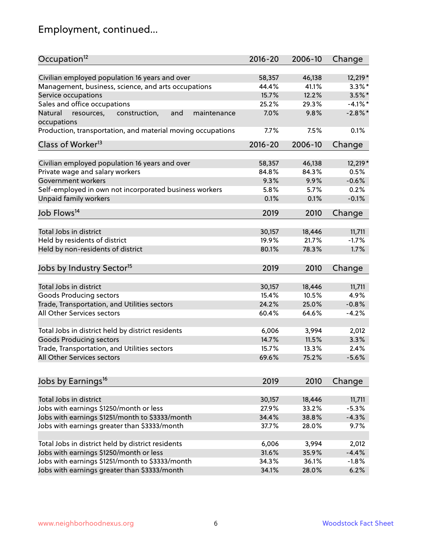# Employment, continued...

| Occupation <sup>12</sup>                                     | $2016 - 20$ | 2006-10 | Change     |
|--------------------------------------------------------------|-------------|---------|------------|
| Civilian employed population 16 years and over               | 58,357      | 46,138  | 12,219 *   |
| Management, business, science, and arts occupations          | 44.4%       | 41.1%   | $3.3\%$ *  |
| Service occupations                                          | 15.7%       | 12.2%   | $3.5\%$ *  |
| Sales and office occupations                                 | 25.2%       | 29.3%   | $-4.1%$ *  |
| Natural<br>and<br>maintenance<br>resources,<br>construction, | 7.0%        | 9.8%    | $-2.8\%$ * |
| occupations                                                  |             |         |            |
| Production, transportation, and material moving occupations  | 7.7%        | 7.5%    | 0.1%       |
| Class of Worker <sup>13</sup>                                | $2016 - 20$ | 2006-10 | Change     |
| Civilian employed population 16 years and over               | 58,357      | 46,138  | 12,219 *   |
| Private wage and salary workers                              | 84.8%       | 84.3%   | 0.5%       |
| Government workers                                           | 9.3%        | 9.9%    | $-0.6%$    |
| Self-employed in own not incorporated business workers       | 5.8%        | 5.7%    | 0.2%       |
| Unpaid family workers                                        | 0.1%        | 0.1%    | $-0.1%$    |
|                                                              |             |         |            |
| Job Flows <sup>14</sup>                                      | 2019        | 2010    | Change     |
| Total Jobs in district                                       | 30,157      | 18,446  | 11,711     |
| Held by residents of district                                | 19.9%       | 21.7%   | $-1.7%$    |
| Held by non-residents of district                            | 80.1%       | 78.3%   | 1.7%       |
|                                                              |             |         |            |
| Jobs by Industry Sector <sup>15</sup>                        | 2019        | 2010    | Change     |
| Total Jobs in district                                       | 30,157      | 18,446  | 11,711     |
| Goods Producing sectors                                      | 15.4%       | 10.5%   | 4.9%       |
| Trade, Transportation, and Utilities sectors                 | 24.2%       | 25.0%   | $-0.8%$    |
| All Other Services sectors                                   | 60.4%       | 64.6%   | $-4.2%$    |
|                                                              |             |         |            |
| Total Jobs in district held by district residents            | 6,006       | 3,994   | 2,012      |
| <b>Goods Producing sectors</b>                               | 14.7%       | 11.5%   | 3.3%       |
| Trade, Transportation, and Utilities sectors                 | 15.7%       | 13.3%   | 2.4%       |
| All Other Services sectors                                   | 69.6%       | 75.2%   | $-5.6%$    |
|                                                              |             |         |            |
| Jobs by Earnings <sup>16</sup>                               | 2019        | 2010    | Change     |
| Total Jobs in district                                       | 30,157      | 18,446  | 11,711     |
| Jobs with earnings \$1250/month or less                      | 27.9%       | 33.2%   | $-5.3%$    |
| Jobs with earnings \$1251/month to \$3333/month              | 34.4%       | 38.8%   | $-4.3%$    |
| Jobs with earnings greater than \$3333/month                 | 37.7%       | 28.0%   | 9.7%       |
|                                                              |             |         |            |
| Total Jobs in district held by district residents            | 6,006       | 3,994   | 2,012      |
| Jobs with earnings \$1250/month or less                      | 31.6%       | 35.9%   | $-4.4%$    |
| Jobs with earnings \$1251/month to \$3333/month              | 34.3%       | 36.1%   | $-1.8%$    |
| Jobs with earnings greater than \$3333/month                 | 34.1%       | 28.0%   | 6.2%       |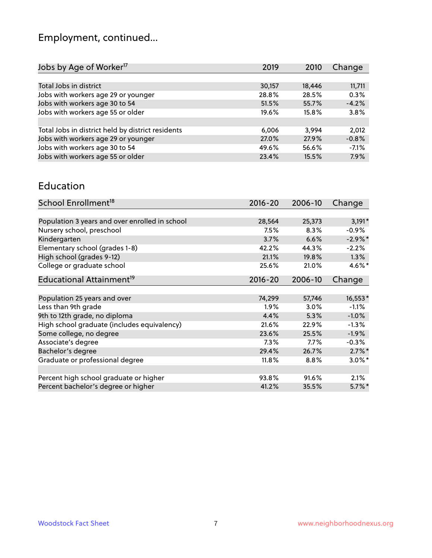# Employment, continued...

| Jobs by Age of Worker <sup>17</sup>               | 2019   | 2010   | Change  |
|---------------------------------------------------|--------|--------|---------|
|                                                   |        |        |         |
| Total Jobs in district                            | 30,157 | 18,446 | 11,711  |
| Jobs with workers age 29 or younger               | 28.8%  | 28.5%  | 0.3%    |
| Jobs with workers age 30 to 54                    | 51.5%  | 55.7%  | $-4.2%$ |
| Jobs with workers age 55 or older                 | 19.6%  | 15.8%  | 3.8%    |
|                                                   |        |        |         |
| Total Jobs in district held by district residents | 6,006  | 3.994  | 2,012   |
| Jobs with workers age 29 or younger               | 27.0%  | 27.9%  | $-0.8%$ |
| Jobs with workers age 30 to 54                    | 49.6%  | 56.6%  | $-7.1%$ |
| Jobs with workers age 55 or older                 | 23.4%  | 15.5%  | 7.9%    |
|                                                   |        |        |         |

#### Education

| School Enrollment <sup>18</sup>                | $2016 - 20$ | 2006-10 | Change     |
|------------------------------------------------|-------------|---------|------------|
|                                                |             |         |            |
| Population 3 years and over enrolled in school | 28,564      | 25,373  | $3,191*$   |
| Nursery school, preschool                      | 7.5%        | 8.3%    | $-0.9\%$   |
| Kindergarten                                   | 3.7%        | 6.6%    | $-2.9\%$ * |
| Elementary school (grades 1-8)                 | 42.2%       | 44.3%   | $-2.2%$    |
| High school (grades 9-12)                      | 21.1%       | 19.8%   | $1.3\%$    |
| College or graduate school                     | 25.6%       | 21.0%   | $4.6\%$ *  |
| Educational Attainment <sup>19</sup>           | $2016 - 20$ | 2006-10 | Change     |
|                                                |             |         |            |
| Population 25 years and over                   | 74,299      | 57,746  | 16,553*    |
| Less than 9th grade                            | 1.9%        | 3.0%    | $-1.1%$    |
| 9th to 12th grade, no diploma                  | 4.4%        | 5.3%    | $-1.0%$    |
| High school graduate (includes equivalency)    | 21.6%       | 22.9%   | $-1.3%$    |
| Some college, no degree                        | 23.6%       | 25.5%   | $-1.9%$    |
| Associate's degree                             | 7.3%        | 7.7%    | $-0.3%$    |
| Bachelor's degree                              | 29.4%       | 26.7%   | $2.7\%$ *  |
| Graduate or professional degree                | 11.8%       | 8.8%    | $3.0\%$ *  |
|                                                |             |         |            |
| Percent high school graduate or higher         | 93.8%       | 91.6%   | 2.1%       |
| Percent bachelor's degree or higher            | 41.2%       | 35.5%   | $5.7\%$ *  |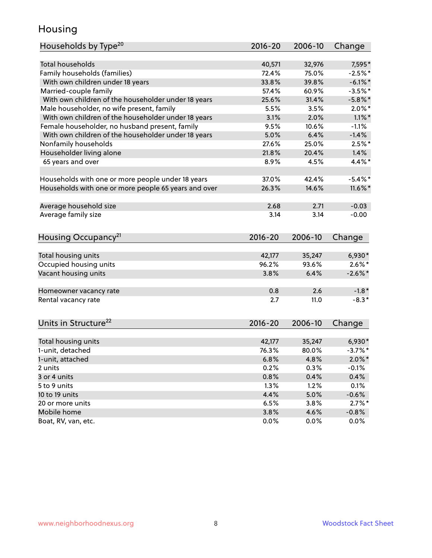### Housing

| Households by Type <sup>20</sup>                     | 2016-20     | 2006-10 | Change     |
|------------------------------------------------------|-------------|---------|------------|
|                                                      |             |         |            |
| <b>Total households</b>                              | 40,571      | 32,976  | 7,595*     |
| Family households (families)                         | 72.4%       | 75.0%   | $-2.5%$ *  |
| With own children under 18 years                     | 33.8%       | 39.8%   | $-6.1\%$ * |
| Married-couple family                                | 57.4%       | 60.9%   | $-3.5%$ *  |
| With own children of the householder under 18 years  | 25.6%       | 31.4%   | $-5.8\%$ * |
| Male householder, no wife present, family            | 5.5%        | 3.5%    | $2.0\%$ *  |
| With own children of the householder under 18 years  | 3.1%        | 2.0%    | $1.1\%$ *  |
| Female householder, no husband present, family       | 9.5%        | 10.6%   | $-1.1%$    |
| With own children of the householder under 18 years  | 5.0%        | 6.4%    | $-1.4%$    |
| Nonfamily households                                 | 27.6%       | 25.0%   | $2.5%$ *   |
| Householder living alone                             | 21.8%       | 20.4%   | 1.4%       |
| 65 years and over                                    | 8.9%        | 4.5%    | 4.4%*      |
|                                                      |             |         |            |
| Households with one or more people under 18 years    | 37.0%       | 42.4%   | $-5.4\%$ * |
| Households with one or more people 65 years and over | 26.3%       | 14.6%   | $11.6\%$ * |
|                                                      |             |         |            |
| Average household size                               | 2.68        | 2.71    | $-0.03$    |
| Average family size                                  | 3.14        | 3.14    | $-0.00$    |
|                                                      |             |         |            |
| Housing Occupancy <sup>21</sup>                      | $2016 - 20$ | 2006-10 | Change     |
|                                                      |             |         |            |
| Total housing units                                  | 42,177      | 35,247  | 6,930*     |
| Occupied housing units                               | 96.2%       | 93.6%   | $2.6\%$ *  |
| Vacant housing units                                 | 3.8%        | 6.4%    | $-2.6\%$ * |
|                                                      |             |         |            |
| Homeowner vacancy rate                               | 0.8         | 2.6     | $-1.8*$    |
| Rental vacancy rate                                  | 2.7         | 11.0    | $-8.3*$    |
|                                                      |             |         |            |
|                                                      |             |         |            |
| Units in Structure <sup>22</sup>                     | $2016 - 20$ | 2006-10 | Change     |
| Total housing units                                  | 42,177      | 35,247  | $6,930*$   |
| 1-unit, detached                                     | 76.3%       | 80.0%   | $-3.7%$ *  |
|                                                      |             |         |            |
| 1-unit, attached                                     | 6.8%        | 4.8%    | $2.0\%$ *  |
| 2 units                                              | 0.2%        | 0.3%    | $-0.1%$    |
| 3 or 4 units                                         | 0.8%        | 0.4%    | 0.4%       |
| 5 to 9 units                                         | 1.3%        | 1.2%    | 0.1%       |
| 10 to 19 units                                       | 4.4%        | 5.0%    | $-0.6%$    |
| 20 or more units                                     | 6.5%        | 3.8%    | $2.7\%$ *  |
| Mobile home                                          | 3.8%        | 4.6%    | $-0.8\%$   |
| Boat, RV, van, etc.                                  | 0.0%        | 0.0%    | 0.0%       |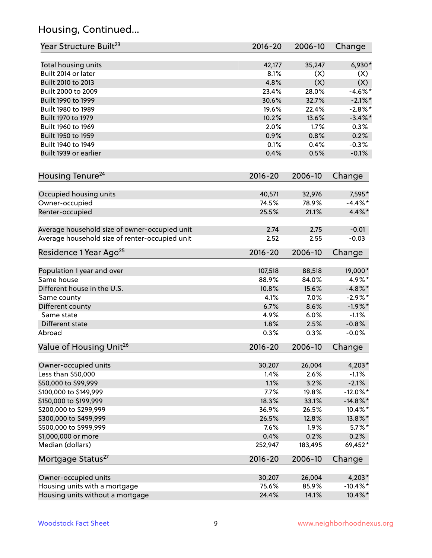## Housing, Continued...

| Year Structure Built <sup>23</sup>                    | 2016-20         | 2006-10 | Change                |
|-------------------------------------------------------|-----------------|---------|-----------------------|
| Total housing units                                   | 42,177          | 35,247  | $6,930*$              |
| Built 2014 or later                                   | 8.1%            | (X)     | (X)                   |
| Built 2010 to 2013                                    | 4.8%            | (X)     | (X)                   |
| Built 2000 to 2009                                    | 23.4%           | 28.0%   | $-4.6\%$ *            |
| Built 1990 to 1999                                    | 30.6%           | 32.7%   | $-2.1\%$ *            |
| Built 1980 to 1989                                    | 19.6%           | 22.4%   | $-2.8\%$ *            |
| Built 1970 to 1979                                    | 10.2%           | 13.6%   | $-3.4\%$ *            |
| Built 1960 to 1969                                    | 2.0%            | 1.7%    | 0.3%                  |
| Built 1950 to 1959                                    | 0.9%            | 0.8%    | 0.2%                  |
| Built 1940 to 1949                                    | 0.1%            | 0.4%    | $-0.3%$               |
| Built 1939 or earlier                                 | 0.4%            | 0.5%    | $-0.1%$               |
| Housing Tenure <sup>24</sup>                          | $2016 - 20$     | 2006-10 | Change                |
|                                                       |                 |         |                       |
| Occupied housing units                                | 40,571          | 32,976  | 7,595*                |
| Owner-occupied                                        | 74.5%           | 78.9%   | $-4.4\%$ *            |
| Renter-occupied                                       | 25.5%           | 21.1%   | 4.4%*                 |
| Average household size of owner-occupied unit         | 2.74            | 2.75    | $-0.01$               |
| Average household size of renter-occupied unit        | 2.52            | 2.55    | $-0.03$               |
| Residence 1 Year Ago <sup>25</sup>                    | $2016 - 20$     | 2006-10 | Change                |
|                                                       |                 |         |                       |
| Population 1 year and over                            | 107,518         | 88,518  | 19,000*               |
| Same house                                            | 88.9%           | 84.0%   | 4.9%*                 |
| Different house in the U.S.                           | 10.8%           | 15.6%   | $-4.8\%$ *            |
| Same county                                           | 4.1%            | 7.0%    | $-2.9%$ *             |
| Different county                                      | 6.7%            | 8.6%    | $-1.9%$ *             |
| Same state                                            | 4.9%            | 6.0%    | $-1.1%$               |
| Different state                                       | 1.8%            | 2.5%    | $-0.8%$               |
| Abroad                                                | 0.3%            | 0.3%    | $-0.0%$               |
| Value of Housing Unit <sup>26</sup>                   | $2016 - 20$     | 2006-10 | Change                |
| Owner-occupied units                                  | 30,207          | 26,004  | 4,203*                |
| Less than \$50,000                                    | 1.4%            | 2.6%    | $-1.1%$               |
| \$50,000 to \$99,999                                  | 1.1%            | 3.2%    | $-2.1%$               |
| \$100,000 to \$149,999                                | 7.7%            | 19.8%   | $-12.0\%$ *           |
| \$150,000 to \$199,999                                | 18.3%           | 33.1%   | $-14.8\%$ *           |
| \$200,000 to \$299,999                                | 36.9%           | 26.5%   | 10.4%*                |
| \$300,000 to \$499,999                                | 26.5%           | 12.8%   | 13.8%*                |
| \$500,000 to \$999,999                                | 7.6%            | 1.9%    | $5.7\%$ *             |
| \$1,000,000 or more                                   | 0.4%            | 0.2%    | 0.2%                  |
| Median (dollars)                                      | 252,947         | 183,495 | 69,452*               |
| Mortgage Status <sup>27</sup>                         | $2016 - 20$     | 2006-10 | Change                |
|                                                       |                 | 26,004  |                       |
| Owner-occupied units<br>Housing units with a mortgage | 30,207<br>75.6% | 85.9%   | 4,203*<br>$-10.4\%$ * |
|                                                       |                 |         | 10.4%*                |
| Housing units without a mortgage                      | 24.4%           | 14.1%   |                       |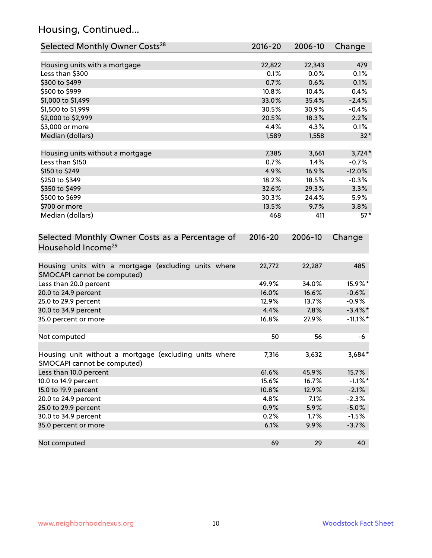## Housing, Continued...

| Selected Monthly Owner Costs <sup>28</sup>                                            | 2016-20     | 2006-10 | Change      |
|---------------------------------------------------------------------------------------|-------------|---------|-------------|
| Housing units with a mortgage                                                         | 22,822      | 22,343  | 479         |
| Less than \$300                                                                       | 0.1%        | 0.0%    | 0.1%        |
| \$300 to \$499                                                                        | 0.7%        | 0.6%    | 0.1%        |
| \$500 to \$999                                                                        | 10.8%       | 10.4%   | 0.4%        |
| \$1,000 to \$1,499                                                                    | 33.0%       | 35.4%   | $-2.4%$     |
| \$1,500 to \$1,999                                                                    | 30.5%       | 30.9%   | $-0.4%$     |
| \$2,000 to \$2,999                                                                    | 20.5%       | 18.3%   | 2.2%        |
| \$3,000 or more                                                                       | 4.4%        | 4.3%    | 0.1%        |
| Median (dollars)                                                                      | 1,589       | 1,558   | $32*$       |
| Housing units without a mortgage                                                      | 7,385       | 3,661   | $3,724*$    |
| Less than \$150                                                                       | 0.7%        | 1.4%    | $-0.7%$     |
| \$150 to \$249                                                                        | 4.9%        | 16.9%   | $-12.0%$    |
| \$250 to \$349                                                                        | 18.2%       | 18.5%   | $-0.3%$     |
| \$350 to \$499                                                                        | 32.6%       | 29.3%   | 3.3%        |
| \$500 to \$699                                                                        | 30.3%       | 24.4%   | 5.9%        |
| \$700 or more                                                                         | 13.5%       | 9.7%    | 3.8%        |
| Median (dollars)                                                                      | 468         | 411     | $57*$       |
| Selected Monthly Owner Costs as a Percentage of<br>Household Income <sup>29</sup>     | $2016 - 20$ | 2006-10 | Change      |
| Housing units with a mortgage (excluding units where<br>SMOCAPI cannot be computed)   | 22,772      | 22,287  | 485         |
| Less than 20.0 percent                                                                | 49.9%       | 34.0%   | 15.9%*      |
| 20.0 to 24.9 percent                                                                  | 16.0%       | 16.6%   | $-0.6%$     |
| 25.0 to 29.9 percent                                                                  | 12.9%       | 13.7%   | $-0.9\%$    |
| 30.0 to 34.9 percent                                                                  | 4.4%        | 7.8%    | $-3.4\%$ *  |
| 35.0 percent or more                                                                  | 16.8%       | 27.9%   | $-11.1\%$ * |
| Not computed                                                                          | 50          | 56      | -6          |
| Housing unit without a mortgage (excluding units where<br>SMOCAPI cannot be computed) | 7,316       | 3,632   | 3,684*      |
| Less than 10.0 percent                                                                | 61.6%       | 45.9%   | 15.7%       |
| 10.0 to 14.9 percent                                                                  | 15.6%       | 16.7%   | $-1.1\%$ *  |
| 15.0 to 19.9 percent                                                                  | 10.8%       | 12.9%   | $-2.1%$     |
| 20.0 to 24.9 percent                                                                  | 4.8%        | 7.1%    | $-2.3%$     |
| 25.0 to 29.9 percent                                                                  | 0.9%        | 5.9%    | $-5.0%$     |
| 30.0 to 34.9 percent                                                                  | 0.2%        | 1.7%    | $-1.5%$     |
| 35.0 percent or more                                                                  | 6.1%        | 9.9%    | $-3.7%$     |
| Not computed                                                                          | 69          | 29      | 40          |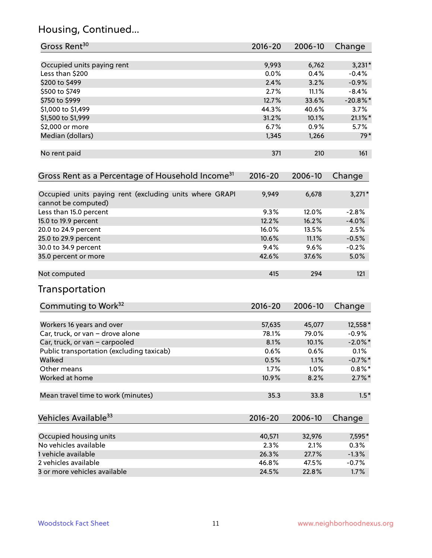## Housing, Continued...

| Gross Rent <sup>30</sup>                                                       | 2016-20     | 2006-10 | Change      |
|--------------------------------------------------------------------------------|-------------|---------|-------------|
|                                                                                |             |         |             |
| Occupied units paying rent                                                     | 9,993       | 6,762   | $3,231*$    |
| Less than \$200                                                                | 0.0%        | 0.4%    | $-0.4%$     |
| \$200 to \$499                                                                 | 2.4%        | 3.2%    | $-0.9%$     |
| \$500 to \$749                                                                 | 2.7%        | 11.1%   | $-8.4%$     |
| \$750 to \$999                                                                 | 12.7%       | 33.6%   | $-20.8\%$ * |
| \$1,000 to \$1,499                                                             | 44.3%       | 40.6%   | 3.7%        |
| \$1,500 to \$1,999                                                             | 31.2%       | 10.1%   | $21.1\%$ *  |
| \$2,000 or more                                                                | 6.7%        | 0.9%    | 5.7%        |
| Median (dollars)                                                               | 1,345       | 1,266   | $79*$       |
| No rent paid                                                                   | 371         | 210     | 161         |
| Gross Rent as a Percentage of Household Income <sup>31</sup>                   | $2016 - 20$ | 2006-10 | Change      |
| Occupied units paying rent (excluding units where GRAPI<br>cannot be computed) | 9,949       | 6,678   | $3,271*$    |
| Less than 15.0 percent                                                         | 9.3%        | 12.0%   | $-2.8%$     |
| 15.0 to 19.9 percent                                                           | 12.2%       | 16.2%   | $-4.0%$     |
| 20.0 to 24.9 percent                                                           | 16.0%       | 13.5%   | 2.5%        |
| 25.0 to 29.9 percent                                                           | 10.6%       | 11.1%   | $-0.5%$     |
| 30.0 to 34.9 percent                                                           | 9.4%        | 9.6%    | $-0.2%$     |
| 35.0 percent or more                                                           | 42.6%       | 37.6%   | 5.0%        |
| Not computed                                                                   | 415         | 294     | 121         |
| Transportation                                                                 |             |         |             |
| Commuting to Work <sup>32</sup>                                                | 2016-20     | 2006-10 | Change      |
| Workers 16 years and over                                                      | 57,635      | 45,077  | 12,558*     |
| Car, truck, or van - drove alone                                               | 78.1%       | 79.0%   | $-0.9%$     |
| Car, truck, or van - carpooled                                                 | 8.1%        | 10.1%   | $-2.0\%$ *  |
| Public transportation (excluding taxicab)                                      | 0.6%        | 0.6%    | 0.1%        |
| Walked                                                                         | 0.5%        | 1.1%    | $-0.7\%$ *  |
| Other means                                                                    | 1.7%        | 1.0%    | $0.8\%$ *   |
| Worked at home                                                                 | 10.9%       | 8.2%    | $2.7\%$ *   |
| Mean travel time to work (minutes)                                             | 35.3        | 33.8    | $1.5*$      |
| Vehicles Available <sup>33</sup>                                               | 2016-20     | 2006-10 | Change      |
| Occupied housing units                                                         | 40,571      | 32,976  | 7,595*      |
| No vehicles available                                                          | 2.3%        | 2.1%    | 0.3%        |
| 1 vehicle available                                                            | 26.3%       | 27.7%   | $-1.3%$     |
| 2 vehicles available                                                           | 46.8%       | 47.5%   | $-0.7%$     |
| 3 or more vehicles available                                                   | 24.5%       | 22.8%   | 1.7%        |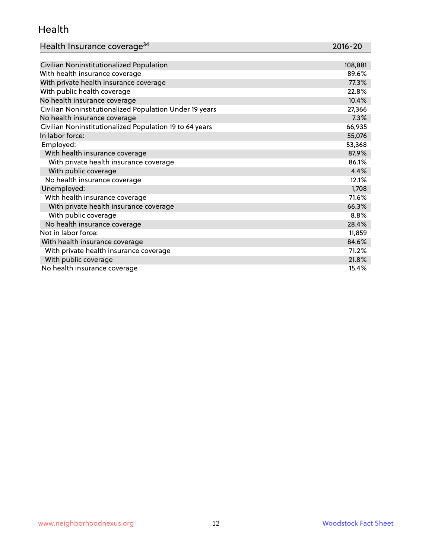### Health

| Health Insurance coverage <sup>34</sup> | 2016-20 |
|-----------------------------------------|---------|
|-----------------------------------------|---------|

| Civilian Noninstitutionalized Population                | 108,881 |
|---------------------------------------------------------|---------|
| With health insurance coverage                          | 89.6%   |
| With private health insurance coverage                  | 77.3%   |
| With public health coverage                             | 22.8%   |
| No health insurance coverage                            | 10.4%   |
| Civilian Noninstitutionalized Population Under 19 years | 27,366  |
| No health insurance coverage                            | 7.3%    |
| Civilian Noninstitutionalized Population 19 to 64 years | 66,935  |
| In labor force:                                         | 55,076  |
| Employed:                                               | 53,368  |
| With health insurance coverage                          | 87.9%   |
| With private health insurance coverage                  | 86.1%   |
| With public coverage                                    | 4.4%    |
| No health insurance coverage                            | 12.1%   |
| Unemployed:                                             | 1,708   |
| With health insurance coverage                          | 71.6%   |
| With private health insurance coverage                  | 66.3%   |
| With public coverage                                    | 8.8%    |
| No health insurance coverage                            | 28.4%   |
| Not in labor force:                                     | 11,859  |
| With health insurance coverage                          | 84.6%   |
| With private health insurance coverage                  | 71.2%   |
| With public coverage                                    | 21.8%   |
| No health insurance coverage                            | 15.4%   |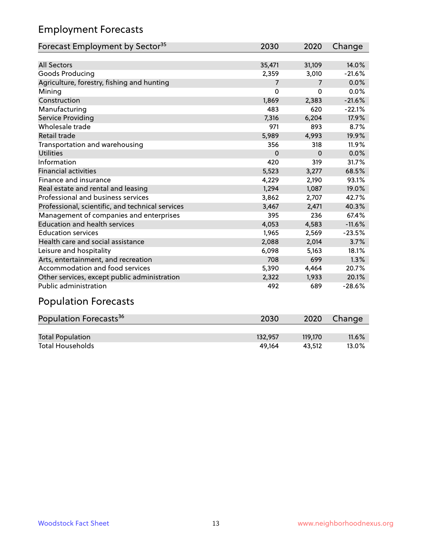## Employment Forecasts

| Forecast Employment by Sector <sup>35</sup>      | 2030     | 2020           | Change   |
|--------------------------------------------------|----------|----------------|----------|
|                                                  |          |                |          |
| <b>All Sectors</b>                               | 35,471   | 31,109         | 14.0%    |
| Goods Producing                                  | 2,359    | 3,010          | $-21.6%$ |
| Agriculture, forestry, fishing and hunting       | 7        | $\overline{7}$ | 0.0%     |
| Mining                                           | $\Omega$ | $\mathbf 0$    | 0.0%     |
| Construction                                     | 1,869    | 2,383          | $-21.6%$ |
| Manufacturing                                    | 483      | 620            | $-22.1%$ |
| <b>Service Providing</b>                         | 7,316    | 6,204          | 17.9%    |
| Wholesale trade                                  | 971      | 893            | 8.7%     |
| Retail trade                                     | 5,989    | 4,993          | 19.9%    |
| Transportation and warehousing                   | 356      | 318            | 11.9%    |
| <b>Utilities</b>                                 | $\Omega$ | $\Omega$       | 0.0%     |
| Information                                      | 420      | 319            | 31.7%    |
| <b>Financial activities</b>                      | 5,523    | 3,277          | 68.5%    |
| Finance and insurance                            | 4,229    | 2,190          | 93.1%    |
| Real estate and rental and leasing               | 1,294    | 1,087          | 19.0%    |
| Professional and business services               | 3,862    | 2,707          | 42.7%    |
| Professional, scientific, and technical services | 3,467    | 2,471          | 40.3%    |
| Management of companies and enterprises          | 395      | 236            | 67.4%    |
| <b>Education and health services</b>             | 4,053    | 4,583          | $-11.6%$ |
| <b>Education services</b>                        | 1,965    | 2,569          | $-23.5%$ |
| Health care and social assistance                | 2,088    | 2,014          | 3.7%     |
| Leisure and hospitality                          | 6,098    | 5,163          | 18.1%    |
| Arts, entertainment, and recreation              | 708      | 699            | 1.3%     |
| Accommodation and food services                  | 5,390    | 4,464          | 20.7%    |
| Other services, except public administration     | 2,322    | 1,933          | 20.1%    |
| <b>Public administration</b>                     | 492      | 689            | $-28.6%$ |
| <b>Population Forecasts</b>                      |          |                |          |

| Population Forecasts <sup>36</sup> | 2030    | 2020    | Change   |
|------------------------------------|---------|---------|----------|
|                                    |         |         |          |
| <b>Total Population</b>            | 132,957 | 119.170 | $11.6\%$ |
| <b>Total Households</b>            | 49.164  | 43.512  | $13.0\%$ |